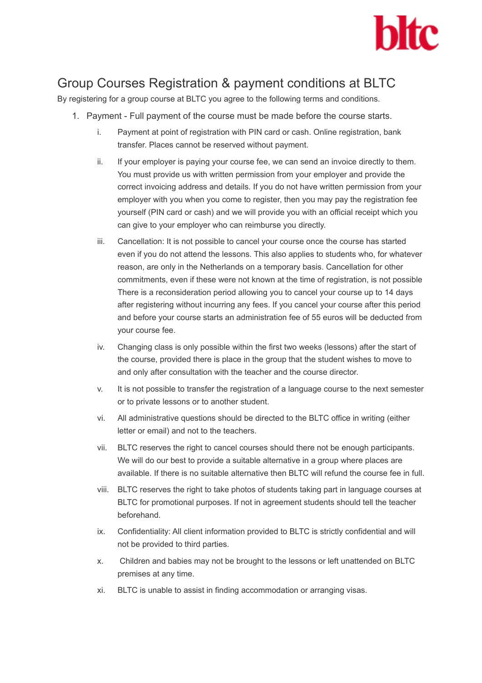

## Group Courses Registration & payment conditions at BLTC

By registering for a group course at BLTC you agree to the following terms and conditions.

- 1. Payment Full payment of the course must be made before the course starts.
	- i. Payment at point of registration with PIN card or cash. Online registration, bank transfer. Places cannot be reserved without payment.
	- ii. If your employer is paying your course fee, we can send an invoice directly to them. You must provide us with written permission from your employer and provide the correct invoicing address and details. If you do not have written permission from your employer with you when you come to register, then you may pay the registration fee yourself (PIN card or cash) and we will provide you with an official receipt which you can give to your employer who can reimburse you directly.
	- iii. Cancellation: It is not possible to cancel your course once the course has started even if you do not attend the lessons. This also applies to students who, for whatever reason, are only in the Netherlands on a temporary basis. Cancellation for other commitments, even if these were not known at the time of registration, is not possible There is a reconsideration period allowing you to cancel your course up to 14 days after registering without incurring any fees. If you cancel your course after this period and before your course starts an administration fee of 55 euros will be deducted from your course fee.
	- iv. Changing class is only possible within the first two weeks (lessons) after the start of the course, provided there is place in the group that the student wishes to move to and only after consultation with the teacher and the course director.
	- v. It is not possible to transfer the registration of a language course to the next semester or to private lessons or to another student.
	- vi. All administrative questions should be directed to the BLTC office in writing (either letter or email) and not to the teachers.
	- vii. BLTC reserves the right to cancel courses should there not be enough participants. We will do our best to provide a suitable alternative in a group where places are available. If there is no suitable alternative then BLTC will refund the course fee in full.
	- viii. BLTC reserves the right to take photos of students taking part in language courses at BLTC for promotional purposes. If not in agreement students should tell the teacher beforehand.
	- ix. Confidentiality: All client information provided to BLTC is strictly confidential and will not be provided to third parties.
	- x. Children and babies may not be brought to the lessons or left unattended on BLTC premises at any time.
	- xi. BLTC is unable to assist in finding accommodation or arranging visas.